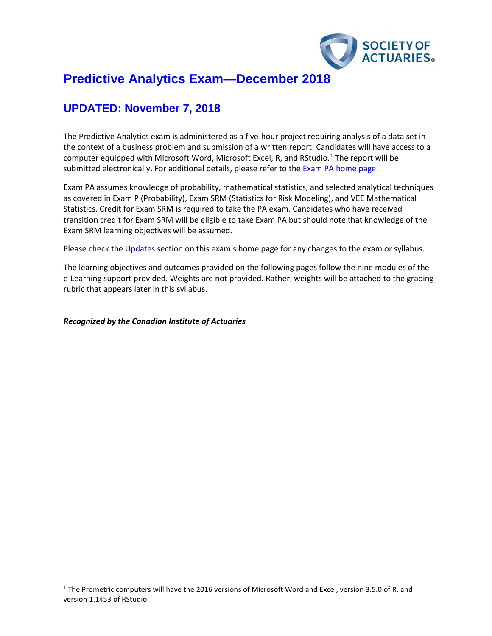

# **Predictive Analytics Exam—December 2018**

# **UPDATED: November 7, 2018**

The Predictive Analytics exam is administered as a five-hour project requiring analysis of a data set in the context of a business problem and submission of a written report. Candidates will have access to a computer equipped with Microsoft Word, Microsoft Excel, R, and RStudio.<sup>[1](#page-0-0)</sup> The report will be submitted electronically. For additional details, please refer to the [Exam PA home page.](https://www.soa.org/Education/Exam-Req/edu-exam-pa-detail.aspx)

Exam PA assumes knowledge of probability, mathematical statistics, and selected analytical techniques as covered in Exam P (Probability), Exam SRM (Statistics for Risk Modeling), and VEE Mathematical Statistics. Credit for Exam SRM is required to take the PA exam. Candidates who have received transition credit for Exam SRM will be eligible to take Exam PA but should note that knowledge of the Exam SRM learning objectives will be assumed.

Please check th[e Updates](https://www.soa.org/Education/Exam-Req/Syllabus-Study-Materials/edu-updates-exam-pa.aspx) section on this exam's home page for any changes to the exam or syllabus.

The learning objectives and outcomes provided on the following pages follow the nine modules of the e-Learning support provided. Weights are not provided. Rather, weights will be attached to the grading rubric that appears later in this syllabus.

*Recognized by the Canadian Institute of Actuaries*

<span id="page-0-0"></span><sup>&</sup>lt;sup>1</sup> The Prometric computers will have the 2016 versions of Microsoft Word and Excel, version 3.5.0 of R, and version 1.1453 of RStudio.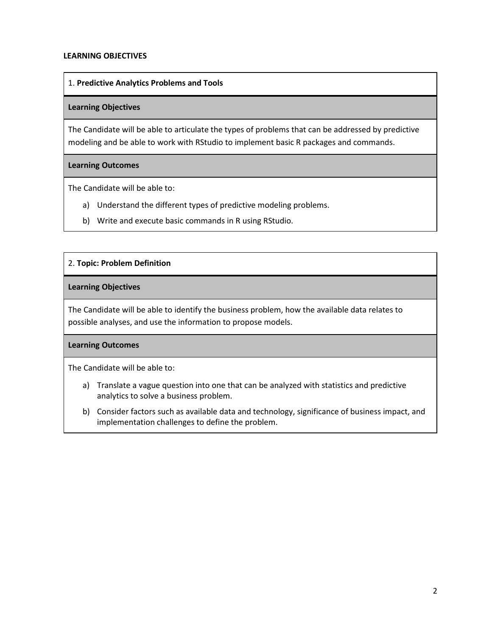#### **LEARNING OBJECTIVES**

#### 1. **Predictive Analytics Problems and Tools**

#### **Learning Objectives**

The Candidate will be able to articulate the types of problems that can be addressed by predictive modeling and be able to work with RStudio to implement basic R packages and commands.

#### **Learning Outcomes**

The Candidate will be able to:

- a) Understand the different types of predictive modeling problems.
- b) Write and execute basic commands in R using RStudio.

## 2. **Topic: Problem Definition**

#### **Learning Objectives**

The Candidate will be able to identify the business problem, how the available data relates to possible analyses, and use the information to propose models.

## **Learning Outcomes**

- a) Translate a vague question into one that can be analyzed with statistics and predictive analytics to solve a business problem.
- b) Consider factors such as available data and technology, significance of business impact, and implementation challenges to define the problem.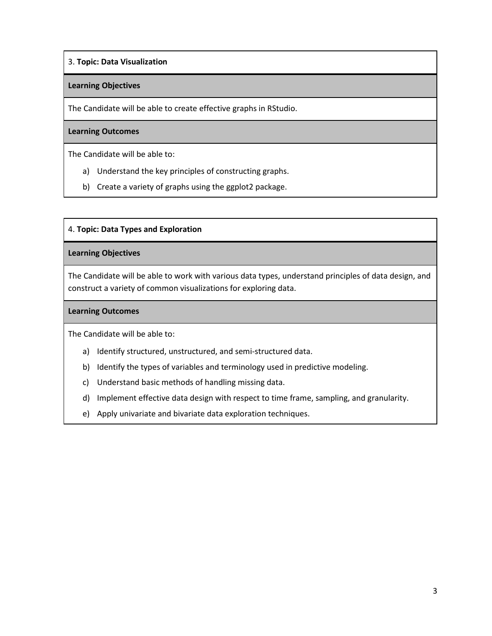# 3. **Topic: Data Visualization**

#### **Learning Objectives**

The Candidate will be able to create effective graphs in RStudio.

#### **Learning Outcomes**

The Candidate will be able to:

- a) Understand the key principles of constructing graphs.
- b) Create a variety of graphs using the ggplot2 package.

#### 4. **Topic: Data Types and Exploration**

#### **Learning Objectives**

The Candidate will be able to work with various data types, understand principles of data design, and construct a variety of common visualizations for exploring data.

#### **Learning Outcomes**

- a) Identify structured, unstructured, and semi-structured data.
- b) Identify the types of variables and terminology used in predictive modeling.
- c) Understand basic methods of handling missing data.
- d) Implement effective data design with respect to time frame, sampling, and granularity.
- e) Apply univariate and bivariate data exploration techniques.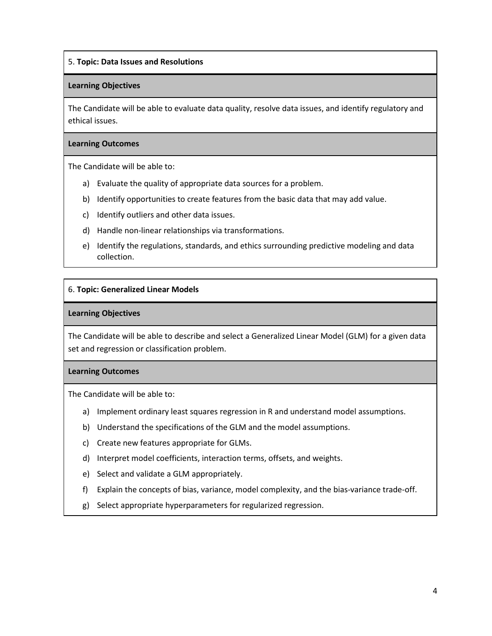## 5. **Topic: Data Issues and Resolutions**

#### **Learning Objectives**

The Candidate will be able to evaluate data quality, resolve data issues, and identify regulatory and ethical issues.

## **Learning Outcomes**

The Candidate will be able to:

- a) Evaluate the quality of appropriate data sources for a problem.
- b) Identify opportunities to create features from the basic data that may add value.
- c) Identify outliers and other data issues.
- d) Handle non-linear relationships via transformations.
- e) Identify the regulations, standards, and ethics surrounding predictive modeling and data collection.

#### 6. **Topic: Generalized Linear Models**

#### **Learning Objectives**

The Candidate will be able to describe and select a Generalized Linear Model (GLM) for a given data set and regression or classification problem.

## **Learning Outcomes**

- a) Implement ordinary least squares regression in R and understand model assumptions.
- b) Understand the specifications of the GLM and the model assumptions.
- c) Create new features appropriate for GLMs.
- d) Interpret model coefficients, interaction terms, offsets, and weights.
- e) Select and validate a GLM appropriately.
- f) Explain the concepts of bias, variance, model complexity, and the bias-variance trade-off.
- g) Select appropriate hyperparameters for regularized regression.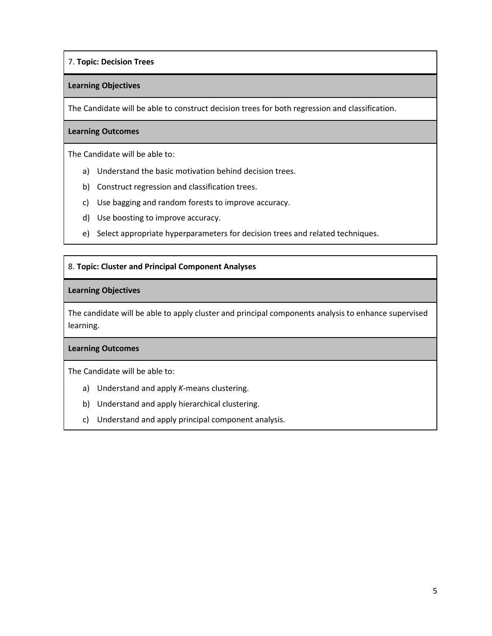## 7. **Topic: Decision Trees**

#### **Learning Objectives**

The Candidate will be able to construct decision trees for both regression and classification.

#### **Learning Outcomes**

The Candidate will be able to:

- a) Understand the basic motivation behind decision trees.
- b) Construct regression and classification trees.
- c) Use bagging and random forests to improve accuracy.
- d) Use boosting to improve accuracy.
- e) Select appropriate hyperparameters for decision trees and related techniques.

#### 8. **Topic: Cluster and Principal Component Analyses**

#### **Learning Objectives**

The candidate will be able to apply cluster and principal components analysis to enhance supervised learning.

#### **Learning Outcomes**

- a) Understand and apply *K*-means clustering.
- b) Understand and apply hierarchical clustering.
- c) Understand and apply principal component analysis.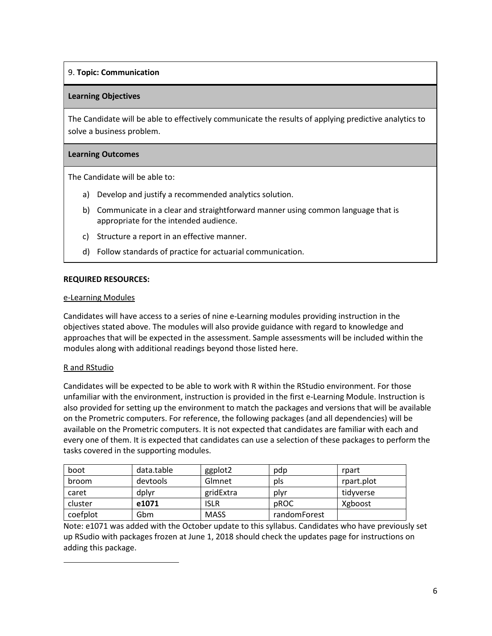# 9. **Topic: Communication**

## **Learning Objectives**

The Candidate will be able to effectively communicate the results of applying predictive analytics to solve a business problem.

## **Learning Outcomes**

The Candidate will be able to:

- a) Develop and justify a recommended analytics solution.
- b) Communicate in a clear and straightforward manner using common language that is appropriate for the intended audience.
- c) Structure a report in an effective manner.
- d) Follow standards of practice for actuarial communication.

## **REQUIRED RESOURCES:**

## e-Learning Modules

Candidates will have access to a series of nine e-Learning modules providing instruction in the objectives stated above. The modules will also provide guidance with regard to knowledge and approaches that will be expected in the assessment. Sample assessments will be included within the modules along with additional readings beyond those listed here.

## R and RStudio

Candidates will be expected to be able to work with R within the RStudio environment. For those unfamiliar with the environment, instruction is provided in the first e-Learning Module. Instruction is also provided for setting up the environment to match the packages and versions that will be available on the Prometric computers. For reference, the following packages (and all dependencies) will be available on the Prometric computers. It is not expected that candidates are familiar with each and every one of them. It is expected that candidates can use a selection of these packages to perform the tasks covered in the supporting modules.

| boot     | data.table | ggplot2     | pdp          | rpart      |
|----------|------------|-------------|--------------|------------|
| broom    | devtools   | Glmnet      | pls          | rpart.plot |
| caret    | dplyr      | gridExtra   | plyr         | tidyverse  |
| cluster  | e1071      | ISLR        | pROC         | Xgboost    |
| coefplot | Gbm        | <b>MASS</b> | randomForest |            |

Note: e1071 was added with the October update to this syllabus. Candidates who have previously set up RSudio with packages frozen at June 1, 2018 should check the updates page for instructions on adding this package.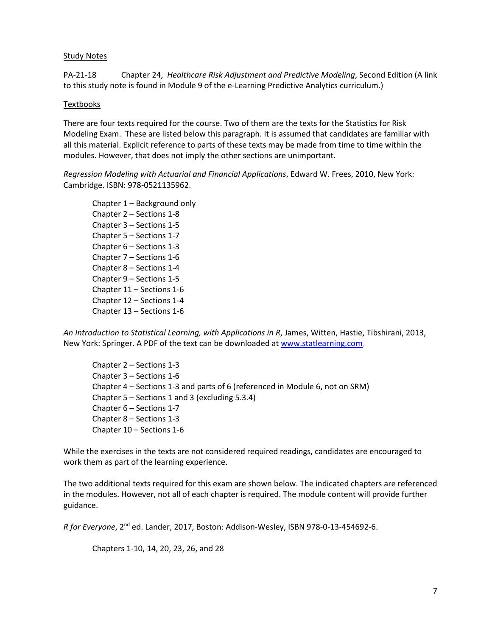#### Study Notes

PA-21-18 Chapter 24, *Healthcare Risk Adjustment and Predictive Modeling*, Second Edition (A link to this study note is found in Module 9 of the e-Learning Predictive Analytics curriculum.)

#### **Textbooks**

There are four texts required for the course. Two of them are the texts for the Statistics for Risk Modeling Exam. These are listed below this paragraph. It is assumed that candidates are familiar with all this material. Explicit reference to parts of these texts may be made from time to time within the modules. However, that does not imply the other sections are unimportant.

*Regression Modeling with Actuarial and Financial Applications*, Edward W. Frees, 2010, New York: Cambridge. ISBN: 978-0521135962.

Chapter 1 – Background only Chapter 2 – Sections 1-8 Chapter 3 – Sections 1-5 Chapter 5 – Sections 1-7 Chapter 6 – Sections 1-3 Chapter 7 – Sections 1-6 Chapter 8 – Sections 1-4 Chapter 9 – Sections 1-5 Chapter 11 – Sections 1-6 Chapter 12 – Sections 1-4 Chapter 13 – Sections 1-6

*An Introduction to Statistical Learning, with Applications in R*, James, Witten, Hastie, Tibshirani, 2013, New York: Springer. A PDF of the text can be downloaded at [www.statlearning.com.](http://www.statlearning.com/)

Chapter 2 – Sections 1-3 Chapter 3 – Sections 1-6 Chapter 4 – Sections 1-3 and parts of 6 (referenced in Module 6, not on SRM) Chapter 5 – Sections 1 and 3 (excluding 5.3.4) Chapter 6 – Sections 1-7 Chapter 8 – Sections 1-3 Chapter 10 – Sections 1-6

While the exercises in the texts are not considered required readings, candidates are encouraged to work them as part of the learning experience.

The two additional texts required for this exam are shown below. The indicated chapters are referenced in the modules. However, not all of each chapter is required. The module content will provide further guidance.

*R for Everyone*, 2nd ed. Lander, 2017, Boston: Addison-Wesley, ISBN 978-0-13-454692-6.

Chapters 1-10, 14, 20, 23, 26, and 28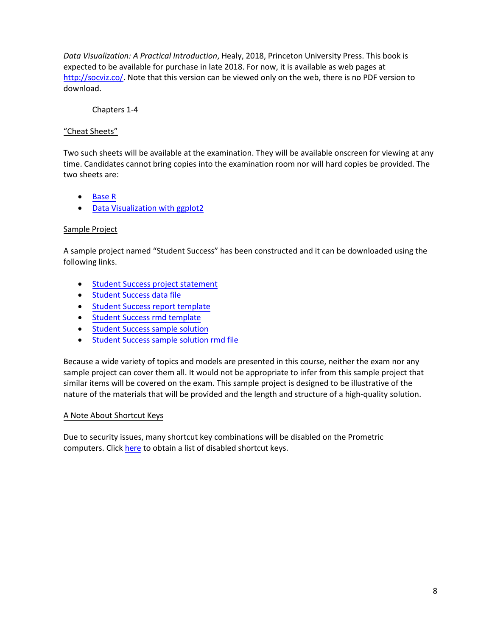*Data Visualization: A Practical Introduction*, Healy, 2018, Princeton University Press. This book is expected to be available for purchase in late 2018. For now, it is available as web pages at [http://socviz.co/.](http://socviz.co/) Note that this version can be viewed only on the web, there is no PDF version to download.

Chapters 1-4

# "Cheat Sheets"

Two such sheets will be available at the examination. They will be available onscreen for viewing at any time. Candidates cannot bring copies into the examination room nor will hard copies be provided. The two sheets are:

- [Base R](https://www.soa.org/Files/Edu/2018/exam-pa-base-r.pdf)
- [Data Visualization with](https://www.soa.org/Files/Edu/2018/exam-pa-data-visual.pdf) ggplot2

## Sample Project

A sample project named "Student Success" has been constructed and it can be downloaded using the following links.

- Student Success project [statement](https://www.soa.org/Files/Edu/2018/exam-pa-sample-project.pdf)
- [Student Success](http://cdn-files.soa.org/web/student-success-data-file.csv) data file
- Student Success [report template](https://www.soa.org/Files/Edu/2018/exam-pa-sample-project-template.docx)
- [Student Success](https://cdn-files.soa.org/web/exam-pa-student-success-rmd-template.rmd) rmd template
- [Student Success](https://www.soa.org/Files/Edu/2018/exam-pa-sample-project-report.pdf) sample solution
- [Student Success](https://cdn-files.soa.org/web/exam-pa-student-success-solution.rmd) sample solution rmd file

Because a wide variety of topics and models are presented in this course, neither the exam nor any sample project can cover them all. It would not be appropriate to infer from this sample project that similar items will be covered on the exam. This sample project is designed to be illustrative of the nature of the materials that will be provided and the length and structure of a high-quality solution.

## A Note About Shortcut Keys

Due to security issues, many shortcut key combinations will be disabled on the Prometric computers. Click [here](https://www.soa.org/Files/Edu/2018/exam-pa-disabled-short-key.pdf) to obtain a list of disabled shortcut keys.